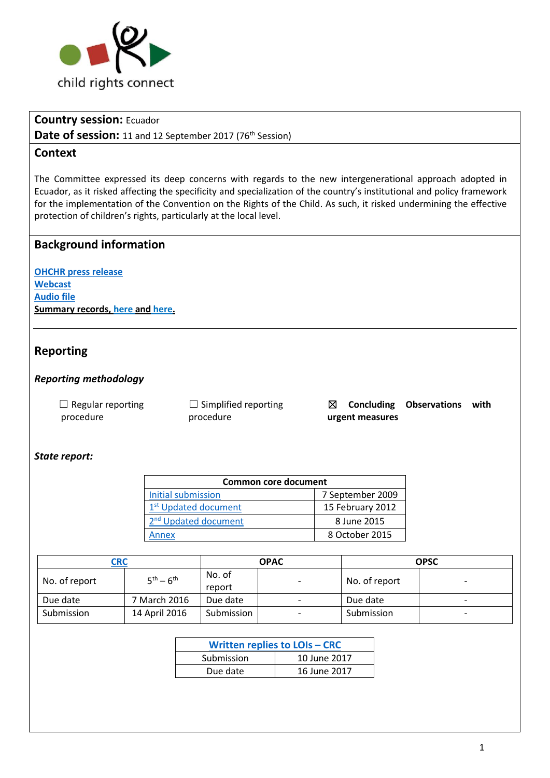

## **Country session:** Ecuador

Date of session: 11 and 12 September 2017 (76<sup>th</sup> Session)

### **Context**

The Committee expressed its deep concerns with regards to the new intergenerational approach adopted in Ecuador, as it risked affecting the specificity and specialization of the country's institutional and policy framework for the implementation of the Convention on the Rights of the Child. As such, it risked undermining the effective protection of children's rights, particularly at the local level.

### **Background information**

**[OHCHR press release](http://www.ohchr.org/EN/NewsEvents/Pages/DisplayNews.aspx?NewsID=22054&LangID=E) [Webcast](http://webtv.un.org/search/-consideration-of-ecuador-2223rd-meeting-76th-session-committee-on-the-rights-of-the-child/5572319401001/?term=&lan=english&cat=CRC&sort=date&page=2) [Audio file](http://tbinternet.ohchr.org/_layouts/treatybodyexternal/Download.aspx?symbolno=CRC%2fC%2fSR.2244&Lang=en) Summary records, [here](http://tbinternet.ohchr.org/_layouts/treatybodyexternal/Download.aspx?symbolno=CRC%2fC%2fSR.2223&Lang=en) and [here.](http://tbinternet.ohchr.org/_layouts/treatybodyexternal/Download.aspx?symbolno=CRC%2fC%2fSR.2224&Lang=en)**

## **Reporting**

### *Reporting methodology*

 $\Box$  Regular reporting procedure

 $\Box$  Simplified reporting procedure

☒ **Concluding Observations with urgent measures**

### *State report:*

| <b>Common core document</b>      |                  |  |
|----------------------------------|------------------|--|
| Initial submission               | 7 September 2009 |  |
| 1 <sup>st</sup> Updated document | 15 February 2012 |  |
| 2 <sup>nd</sup> Updated document | 8 June 2015      |  |
| nnex                             | 8 October 2015   |  |

| <b>CRC</b>    |                   | <b>OPAC</b>      |                          | <b>OPSC</b>   |                          |
|---------------|-------------------|------------------|--------------------------|---------------|--------------------------|
| No. of report | $5^{th} - 6^{th}$ | No. of<br>report | $\overline{\phantom{0}}$ | No. of report | $\overline{\phantom{0}}$ |
| Due date      | 7 March 2016      | Due date         | $\overline{\phantom{0}}$ | Due date      | $\overline{\phantom{0}}$ |
| Submission    | 14 April 2016     | Submission       | $\overline{\phantom{0}}$ | Submission    | $\overline{\phantom{0}}$ |

| <b>Written replies to LOIs - CRC</b> |              |  |
|--------------------------------------|--------------|--|
| Submission                           | 10 June 2017 |  |
| Due date                             | 16 June 2017 |  |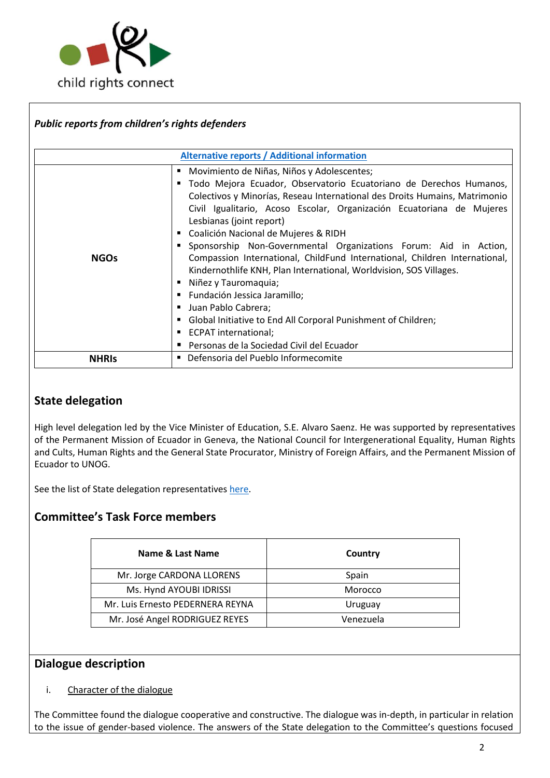

| Public reports from children's rights defenders |                                                                                                                                                                                                                                                                                                                                                                                                                                                                                                                                                                                                                                                                                                                                                                                          |  |  |  |
|-------------------------------------------------|------------------------------------------------------------------------------------------------------------------------------------------------------------------------------------------------------------------------------------------------------------------------------------------------------------------------------------------------------------------------------------------------------------------------------------------------------------------------------------------------------------------------------------------------------------------------------------------------------------------------------------------------------------------------------------------------------------------------------------------------------------------------------------------|--|--|--|
|                                                 | <b>Alternative reports / Additional information</b>                                                                                                                                                                                                                                                                                                                                                                                                                                                                                                                                                                                                                                                                                                                                      |  |  |  |
| <b>NGOs</b>                                     | Movimiento de Niñas, Niños y Adolescentes;<br>Todo Mejora Ecuador, Observatorio Ecuatoriano de Derechos Humanos,<br>Colectivos y Minorías, Reseau International des Droits Humains, Matrimonio<br>Civil Igualitario, Acoso Escolar, Organización Ecuatoriana de Mujeres<br>Lesbianas (joint report)<br>Coalición Nacional de Mujeres & RIDH<br>Sponsorship Non-Governmental Organizations Forum: Aid in Action,<br>Compassion International, ChildFund International, Children International,<br>Kindernothlife KNH, Plan International, Worldvision, SOS Villages.<br>Niñez y Tauromaquia;<br>Fundación Jessica Jaramillo;<br>Juan Pablo Cabrera;<br>Global Initiative to End All Corporal Punishment of Children;<br>ECPAT international;<br>Personas de la Sociedad Civil del Ecuador |  |  |  |
| <b>NHRIS</b>                                    | Defensoria del Pueblo Informecomite                                                                                                                                                                                                                                                                                                                                                                                                                                                                                                                                                                                                                                                                                                                                                      |  |  |  |

# **State delegation**

High level delegation led by the Vice Minister of Education, S.E. Alvaro Saenz. He was supported by representatives of the Permanent Mission of Ecuador in Geneva, the National Council for Intergenerational Equality, Human Rights and Cults, Human Rights and the General State Procurator, Ministry of Foreign Affairs, and the Permanent Mission of Ecuador to UNOG.

See the list of State delegation representatives [here.](http://tbinternet.ohchr.org/_layouts/treatybodyexternal/Download.aspx?symbolno=INT%2fCRC%2fLOP%2fECU%2f28874&Lang=en)

# **Committee's Task Force members**

| Name & Last Name                 | Country   |
|----------------------------------|-----------|
| Mr. Jorge CARDONA LLORENS        | Spain     |
| Ms. Hynd AYOUBI IDRISSI          | Morocco   |
| Mr. Luis Ernesto PEDERNERA REYNA | Uruguay   |
| Mr. José Angel RODRIGUEZ REYES   | Venezuela |

# **Dialogue description**

#### i. Character of the dialogue

The Committee found the dialogue cooperative and constructive. The dialogue was in-depth, in particular in relation to the issue of gender-based violence. The answers of the State delegation to the Committee's questions focused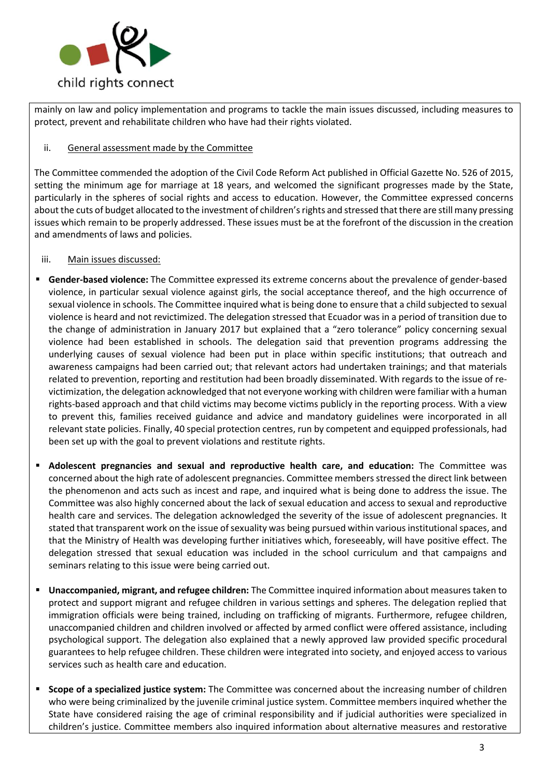

mainly on law and policy implementation and programs to tackle the main issues discussed, including measures to protect, prevent and rehabilitate children who have had their rights violated.

#### ii. General assessment made by the Committee

The Committee commended the adoption of the Civil Code Reform Act published in Official Gazette No. 526 of 2015, setting the minimum age for marriage at 18 years, and welcomed the significant progresses made by the State, particularly in the spheres of social rights and access to education. However, the Committee expressed concerns about the cuts of budget allocated to the investment of children's rights and stressed that there are still many pressing issues which remain to be properly addressed. These issues must be at the forefront of the discussion in the creation and amendments of laws and policies.

#### iii. Main issues discussed:

- **Gender-based violence:** The Committee expressed its extreme concerns about the prevalence of gender-based violence, in particular sexual violence against girls, the social acceptance thereof, and the high occurrence of sexual violence in schools. The Committee inquired what is being done to ensure that a child subjected to sexual violence is heard and not revictimized. The delegation stressed that Ecuador was in a period of transition due to the change of administration in January 2017 but explained that a "zero tolerance" policy concerning sexual violence had been established in schools. The delegation said that prevention programs addressing the underlying causes of sexual violence had been put in place within specific institutions; that outreach and awareness campaigns had been carried out; that relevant actors had undertaken trainings; and that materials related to prevention, reporting and restitution had been broadly disseminated. With regards to the issue of revictimization, the delegation acknowledged that not everyone working with children were familiar with a human rights-based approach and that child victims may become victims publicly in the reporting process. With a view to prevent this, families received guidance and advice and mandatory guidelines were incorporated in all relevant state policies. Finally, 40 special protection centres, run by competent and equipped professionals, had been set up with the goal to prevent violations and restitute rights.
- **Adolescent pregnancies and sexual and reproductive health care, and education:** The Committee was concerned about the high rate of adolescent pregnancies. Committee members stressed the direct link between the phenomenon and acts such as incest and rape, and inquired what is being done to address the issue. The Committee was also highly concerned about the lack of sexual education and access to sexual and reproductive health care and services. The delegation acknowledged the severity of the issue of adolescent pregnancies. It stated that transparent work on the issue of sexuality was being pursued within various institutional spaces, and that the Ministry of Health was developing further initiatives which, foreseeably, will have positive effect. The delegation stressed that sexual education was included in the school curriculum and that campaigns and seminars relating to this issue were being carried out.
- **Unaccompanied, migrant, and refugee children:** The Committee inquired information about measures taken to protect and support migrant and refugee children in various settings and spheres. The delegation replied that immigration officials were being trained, including on trafficking of migrants. Furthermore, refugee children, unaccompanied children and children involved or affected by armed conflict were offered assistance, including psychological support. The delegation also explained that a newly approved law provided specific procedural guarantees to help refugee children. These children were integrated into society, and enjoyed access to various services such as health care and education.
- **Scope of a specialized justice system:** The Committee was concerned about the increasing number of children who were being criminalized by the juvenile criminal justice system. Committee members inquired whether the State have considered raising the age of criminal responsibility and if judicial authorities were specialized in children's justice. Committee members also inquired information about alternative measures and restorative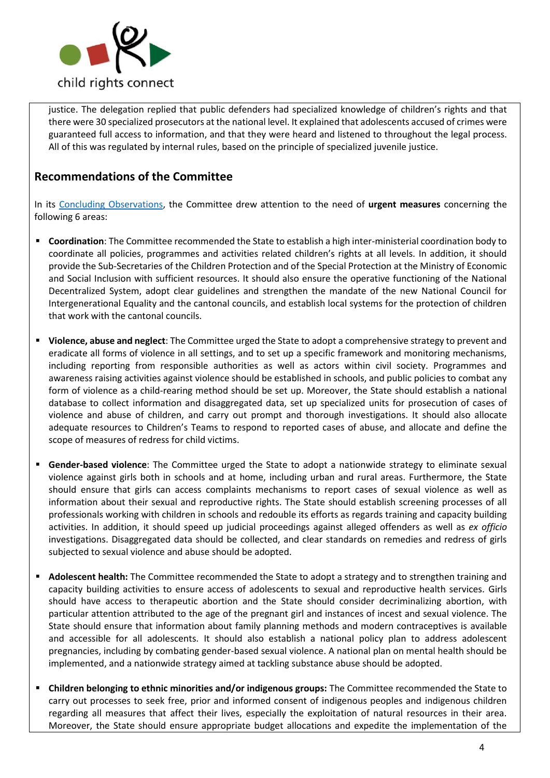

justice. The delegation replied that public defenders had specialized knowledge of children's rights and that there were 30 specialized prosecutors at the national level. It explained that adolescents accused of crimes were guaranteed full access to information, and that they were heard and listened to throughout the legal process. All of this was regulated by internal rules, based on the principle of specialized juvenile justice.

## **Recommendations of the Committee**

In its [Concluding Observations,](http://tbinternet.ohchr.org/_layouts/treatybodyexternal/Download.aspx?symbolno=CRC%2fC%2fECU%2fCO%2f5-6&Lang=en) the Committee drew attention to the need of **urgent measures** concerning the following 6 areas:

- **Coordination**: The Committee recommended the State to establish a high inter-ministerial coordination body to coordinate all policies, programmes and activities related children's rights at all levels. In addition, it should provide the Sub-Secretaries of the Children Protection and of the Special Protection at the Ministry of Economic and Social Inclusion with sufficient resources. It should also ensure the operative functioning of the National Decentralized System, adopt clear guidelines and strengthen the mandate of the new National Council for Intergenerational Equality and the cantonal councils, and establish local systems for the protection of children that work with the cantonal councils.
- **Violence, abuse and neglect**: The Committee urged the State to adopt a comprehensive strategy to prevent and eradicate all forms of violence in all settings, and to set up a specific framework and monitoring mechanisms, including reporting from responsible authorities as well as actors within civil society. Programmes and awareness raising activities against violence should be established in schools, and public policies to combat any form of violence as a child-rearing method should be set up. Moreover, the State should establish a national database to collect information and disaggregated data, set up specialized units for prosecution of cases of violence and abuse of children, and carry out prompt and thorough investigations. It should also allocate adequate resources to Children's Teams to respond to reported cases of abuse, and allocate and define the scope of measures of redress for child victims.
- **Gender-based violence**: The Committee urged the State to adopt a nationwide strategy to eliminate sexual violence against girls both in schools and at home, including urban and rural areas. Furthermore, the State should ensure that girls can access complaints mechanisms to report cases of sexual violence as well as information about their sexual and reproductive rights. The State should establish screening processes of all professionals working with children in schools and redouble its efforts as regards training and capacity building activities. In addition, it should speed up judicial proceedings against alleged offenders as well as *ex officio* investigations. Disaggregated data should be collected, and clear standards on remedies and redress of girls subjected to sexual violence and abuse should be adopted.
- Adolescent health: The Committee recommended the State to adopt a strategy and to strengthen training and capacity building activities to ensure access of adolescents to sexual and reproductive health services. Girls should have access to therapeutic abortion and the State should consider decriminalizing abortion, with particular attention attributed to the age of the pregnant girl and instances of incest and sexual violence. The State should ensure that information about family planning methods and modern contraceptives is available and accessible for all adolescents. It should also establish a national policy plan to address adolescent pregnancies, including by combating gender-based sexual violence. A national plan on mental health should be implemented, and a nationwide strategy aimed at tackling substance abuse should be adopted.
- **Children belonging to ethnic minorities and/or indigenous groups:** The Committee recommended the State to carry out processes to seek free, prior and informed consent of indigenous peoples and indigenous children regarding all measures that affect their lives, especially the exploitation of natural resources in their area. Moreover, the State should ensure appropriate budget allocations and expedite the implementation of the